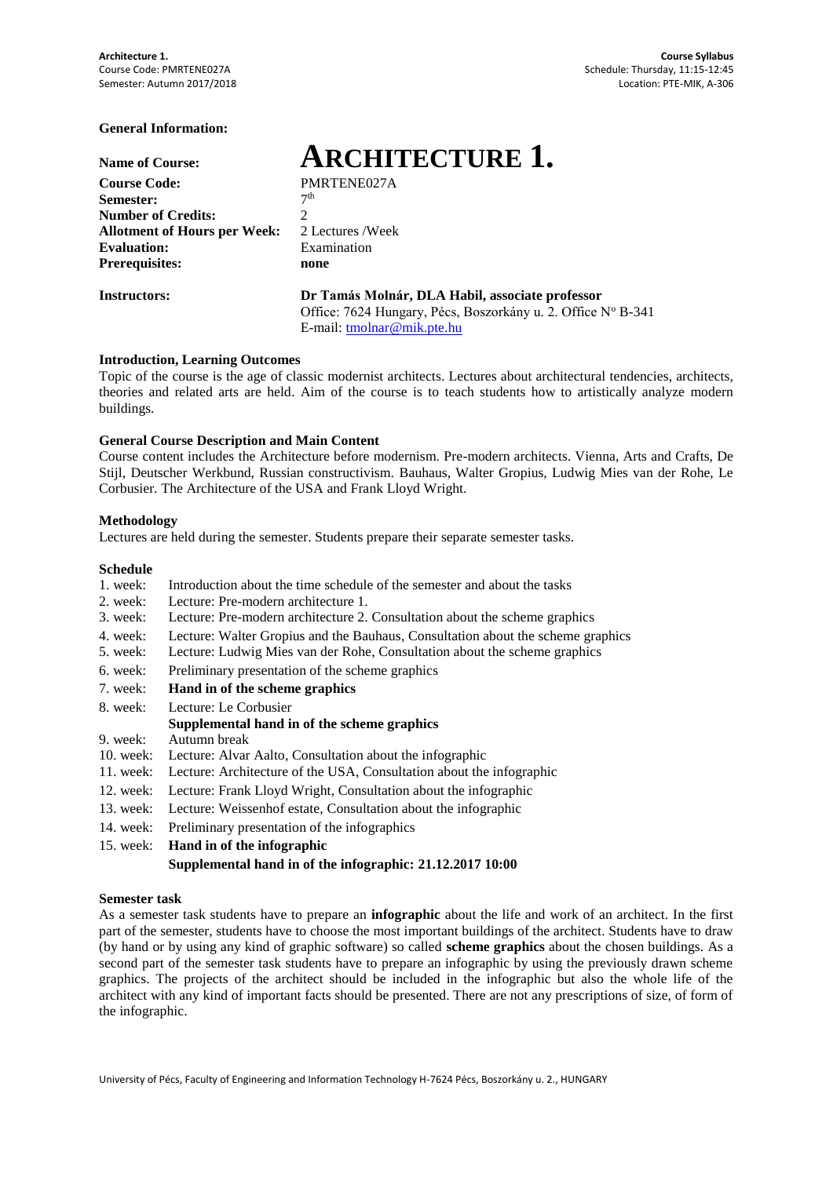### **General Information:**

| <b>Name of Course:</b>              |                |
|-------------------------------------|----------------|
| <b>Course Code:</b>                 | Р              |
| Semester:                           | 7              |
| <b>Number of Credits:</b>           | 2              |
| <b>Allotment of Hours per Week:</b> | $\overline{c}$ |
| <b>Evaluation:</b>                  | F              |
| <b>Prerequisites:</b>               |                |

**Name of Course: ARCHITECTURE 1. Course Code:** PMRTENE027A

 $7<sup>th</sup>$ **Allotment of Hours per Week:** 2 Lectures /Week **Examination Prerequisites: none**

#### **Instructors: Dr Tamás Molnár, DLA Habil, associate professor**

Office: 7624 Hungary, Pécs, Boszorkány u. 2. Office Nº B-341 E-mail: [tmolnar@mik.pte.hu](mailto:tmolnar@mik.pte.hu)

#### **Introduction, Learning Outcomes**

Topic of the course is the age of classic modernist architects. Lectures about architectural tendencies, architects, theories and related arts are held. Aim of the course is to teach students how to artistically analyze modern buildings.

#### **General Course Description and Main Content**

Course content includes the Architecture before modernism. Pre-modern architects. Vienna, Arts and Crafts, De Stijl, Deutscher Werkbund, Russian constructivism. Bauhaus, Walter Gropius, Ludwig Mies van der Rohe, Le Corbusier. The Architecture of the USA and Frank Lloyd Wright.

#### **Methodology**

Lectures are held during the semester. Students prepare their separate semester tasks.

#### **Schedule**

- 1. week: Introduction about the time schedule of the semester and about the tasks
- 2. week: Lecture: Pre-modern architecture 1.
- 3. week: Lecture: Pre-modern architecture 2. Consultation about the scheme graphics
- 4. week: Lecture: Walter Gropius and the Bauhaus, Consultation about the scheme graphics
- 5. week: Lecture: Ludwig Mies van der Rohe, Consultation about the scheme graphics
- 6. week: Preliminary presentation of the scheme graphics
- 7. week: **Hand in of the scheme graphics**
- 8. week: Lecture: Le Corbusier

### **Supplemental hand in of the scheme graphics**

- 9. week: Autumn break
- 10. week: Lecture: Alvar Aalto, Consultation about the infographic
- 11. week: Lecture: Architecture of the USA, Consultation about the infographic
- 12. week: Lecture: Frank Lloyd Wright, Consultation about the infographic
- 13. week: Lecture: Weissenhof estate, Consultation about the infographic
- 14. week: Preliminary presentation of the infographics
- 15. week: **Hand in of the infographic**

```
Supplemental hand in of the infographic: 21.12.2017 10:00
```
### **Semester task**

As a semester task students have to prepare an **infographic** about the life and work of an architect. In the first part of the semester, students have to choose the most important buildings of the architect. Students have to draw (by hand or by using any kind of graphic software) so called **scheme graphics** about the chosen buildings. As a second part of the semester task students have to prepare an infographic by using the previously drawn scheme graphics. The projects of the architect should be included in the infographic but also the whole life of the architect with any kind of important facts should be presented. There are not any prescriptions of size, of form of the infographic.